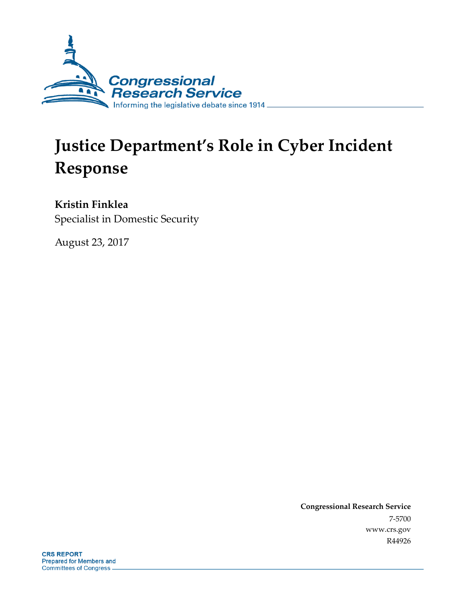

# **Justice Department's Role in Cyber Incident Response**

### **Kristin Finklea**

Specialist in Domestic Security

August 23, 2017

**Congressional Research Service** 7-5700 www.crs.gov R44926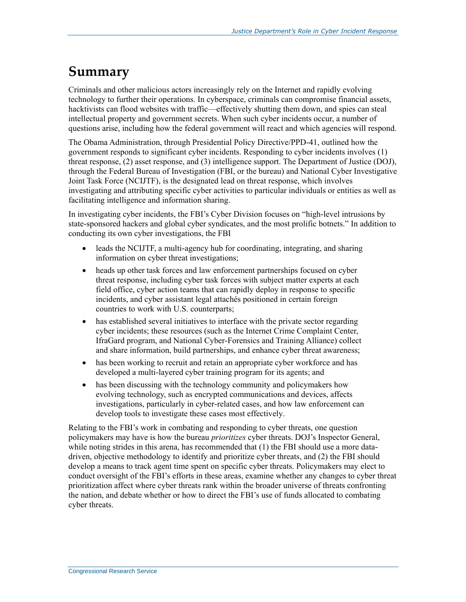# **Summary**

Criminals and other malicious actors increasingly rely on the Internet and rapidly evolving technology to further their operations. In cyberspace, criminals can compromise financial assets, hacktivists can flood websites with traffic—effectively shutting them down, and spies can steal intellectual property and government secrets. When such cyber incidents occur, a number of questions arise, including how the federal government will react and which agencies will respond.

The Obama Administration, through Presidential Policy Directive/PPD-41, outlined how the government responds to significant cyber incidents. Responding to cyber incidents involves (1) threat response, (2) asset response, and (3) intelligence support. The Department of Justice (DOJ), through the Federal Bureau of Investigation (FBI, or the bureau) and National Cyber Investigative Joint Task Force (NCIJTF), is the designated lead on threat response, which involves investigating and attributing specific cyber activities to particular individuals or entities as well as facilitating intelligence and information sharing.

In investigating cyber incidents, the FBI's Cyber Division focuses on "high-level intrusions by state-sponsored hackers and global cyber syndicates, and the most prolific botnets." In addition to conducting its own cyber investigations, the FBI

- leads the NCIJTF, a multi-agency hub for coordinating, integrating, and sharing information on cyber threat investigations;
- heads up other task forces and law enforcement partnerships focused on cyber threat response, including cyber task forces with subject matter experts at each field office, cyber action teams that can rapidly deploy in response to specific incidents, and cyber assistant legal attachés positioned in certain foreign countries to work with U.S. counterparts;
- has established several initiatives to interface with the private sector regarding cyber incidents; these resources (such as the Internet Crime Complaint Center, IfraGard program, and National Cyber-Forensics and Training Alliance) collect and share information, build partnerships, and enhance cyber threat awareness;
- has been working to recruit and retain an appropriate cyber workforce and has developed a multi-layered cyber training program for its agents; and
- has been discussing with the technology community and policymakers how evolving technology, such as encrypted communications and devices, affects investigations, particularly in cyber-related cases, and how law enforcement can develop tools to investigate these cases most effectively.

Relating to the FBI's work in combating and responding to cyber threats, one question policymakers may have is how the bureau *prioritizes* cyber threats. DOJ's Inspector General, while noting strides in this arena, has recommended that (1) the FBI should use a more datadriven, objective methodology to identify and prioritize cyber threats, and (2) the FBI should develop a means to track agent time spent on specific cyber threats. Policymakers may elect to conduct oversight of the FBI's efforts in these areas, examine whether any changes to cyber threat prioritization affect where cyber threats rank within the broader universe of threats confronting the nation, and debate whether or how to direct the FBI's use of funds allocated to combating cyber threats.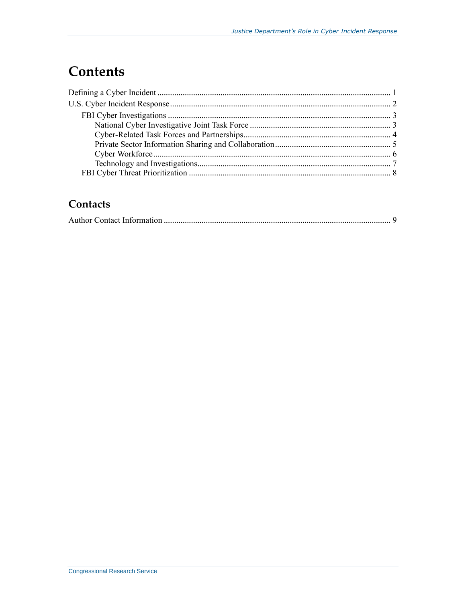# **Contents**

## Contacts

|--|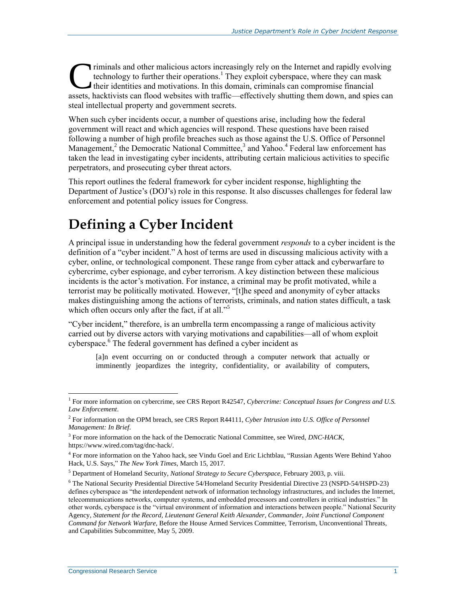riminals and other malicious actors increasingly rely on the Internet and rapidly evolving technology to further their operations.<sup>1</sup> They exploit cyberspace, where they can mask their identities and motivations. In this domain, criminals can compromise financial Triminals and other malicious actors increasingly rely on the Internet and rapidly evolving<br>technology to further their operations.<sup>1</sup> They exploit cyberspace, where they can mask<br>their identities and motivations. In this steal intellectual property and government secrets.

When such cyber incidents occur, a number of questions arise, including how the federal government will react and which agencies will respond. These questions have been raised following a number of high profile breaches such as those against the U.S. Office of Personnel Management,<sup>2</sup> the Democratic National Committee,<sup>3</sup> and Yahoo.<sup>4</sup> Federal law enforcement has taken the lead in investigating cyber incidents, attributing certain malicious activities to specific perpetrators, and prosecuting cyber threat actors.

This report outlines the federal framework for cyber incident response, highlighting the Department of Justice's (DOJ's) role in this response. It also discusses challenges for federal law enforcement and potential policy issues for Congress.

# **Defining a Cyber Incident**

A principal issue in understanding how the federal government *responds* to a cyber incident is the definition of a "cyber incident." A host of terms are used in discussing malicious activity with a cyber, online, or technological component. These range from cyber attack and cyberwarfare to cybercrime, cyber espionage, and cyber terrorism. A key distinction between these malicious incidents is the actor's motivation. For instance, a criminal may be profit motivated, while a terrorist may be politically motivated. However, "[t]he speed and anonymity of cyber attacks makes distinguishing among the actions of terrorists, criminals, and nation states difficult, a task which often occurs only after the fact, if at all."<sup>5</sup>

"Cyber incident," therefore, is an umbrella term encompassing a range of malicious activity carried out by diverse actors with varying motivations and capabilities—all of whom exploit cyberspace.<sup>6</sup> The federal government has defined a cyber incident as

[a]n event occurring on or conducted through a computer network that actually or imminently jeopardizes the integrity, confidentiality, or availability of computers,

<sup>&</sup>lt;sup>1</sup> For more information on cybercrime, see CRS Report R42547, *Cybercrime: Conceptual Issues for Congress and U.S. Law Enforcement*.

<sup>2</sup> For information on the OPM breach, see CRS Report R44111, *Cyber Intrusion into U.S. Office of Personnel Management: In Brief*.

<sup>3</sup> For more information on the hack of the Democratic National Committee, see Wired, *DNC-HACK*, https://www.wired.com/tag/dnc-hack/.

<sup>&</sup>lt;sup>4</sup> For more information on the Yahoo hack, see Vindu Goel and Eric Lichtblau, "Russian Agents Were Behind Yahoo Hack, U.S. Says," *The New York Times*, March 15, 2017.

<sup>5</sup> Department of Homeland Security, *National Strategy to Secure Cyberspace*, February 2003, p. viii.

<sup>6</sup> The National Security Presidential Directive 54/Homeland Security Presidential Directive 23 (NSPD-54/HSPD-23) defines cyberspace as "the interdependent network of information technology infrastructures, and includes the Internet, telecommunications networks, computer systems, and embedded processors and controllers in critical industries." In other words, cyberspace is the "virtual environment of information and interactions between people." National Security Agency, *Statement for the Record, Lieutenant General Keith Alexander, Commander, Joint Functional Component Command for Network Warfare*, Before the House Armed Services Committee, Terrorism, Unconventional Threats, and Capabilities Subcommittee, May 5, 2009.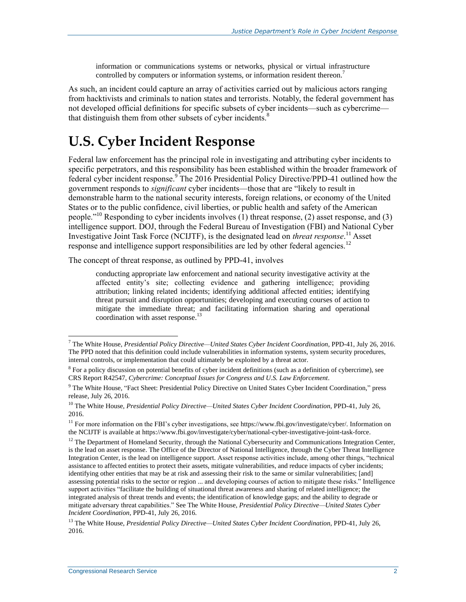information or communications systems or networks, physical or virtual infrastructure controlled by computers or information systems, or information resident thereon.<sup>7</sup>

As such, an incident could capture an array of activities carried out by malicious actors ranging from hacktivists and criminals to nation states and terrorists. Notably, the federal government has not developed official definitions for specific subsets of cyber incidents—such as cybercrime that distinguish them from other subsets of cyber incidents.<sup>8</sup>

# **U.S. Cyber Incident Response**

Federal law enforcement has the principal role in investigating and attributing cyber incidents to specific perpetrators, and this responsibility has been established within the broader framework of federal cyber incident response.<sup>9</sup> The 2016 Presidential Policy Directive/PPD-41 outlined how the government responds to *significant* cyber incidents—those that are "likely to result in demonstrable harm to the national security interests, foreign relations, or economy of the United States or to the public confidence, civil liberties, or public health and safety of the American people."<sup>10</sup> Responding to cyber incidents involves (1) threat response, (2) asset response, and (3) intelligence support. DOJ, through the Federal Bureau of Investigation (FBI) and National Cyber Investigative Joint Task Force (NCIJTF), is the designated lead on *threat response*. <sup>11</sup> Asset response and intelligence support responsibilities are led by other federal agencies.<sup>12</sup>

The concept of threat response, as outlined by PPD-41, involves

conducting appropriate law enforcement and national security investigative activity at the affected entity's site; collecting evidence and gathering intelligence; providing attribution; linking related incidents; identifying additional affected entities; identifying threat pursuit and disruption opportunities; developing and executing courses of action to mitigate the immediate threat; and facilitating information sharing and operational coordination with asset response.<sup>13</sup>

<sup>7</sup> The White House, *Presidential Policy Directive—United States Cyber Incident Coordination*, PPD-41, July 26, 2016. The PPD noted that this definition could include vulnerabilities in information systems, system security procedures, internal controls, or implementation that could ultimately be exploited by a threat actor.

<sup>&</sup>lt;sup>8</sup> For a policy discussion on potential benefits of cyber incident definitions (such as a definition of cybercrime), see CRS Report R42547, *Cybercrime: Conceptual Issues for Congress and U.S. Law Enforcement*.

<sup>&</sup>lt;sup>9</sup> The White House, "Fact Sheet: Presidential Policy Directive on United States Cyber Incident Coordination," press release, July 26, 2016.

<sup>10</sup> The White House, *Presidential Policy Directive—United States Cyber Incident Coordination*, PPD-41, July 26, 2016.

<sup>&</sup>lt;sup>11</sup> For more information on the FBI's cyber investigations, see https://www.fbi.gov/investigate/cyber/. Information on the NCIJTF is available at https://www.fbi.gov/investigate/cyber/national-cyber-investigative-joint-task-force.

<sup>&</sup>lt;sup>12</sup> The Department of Homeland Security, through the National Cybersecurity and Communications Integration Center, is the lead on asset response. The Office of the Director of National Intelligence, through the Cyber Threat Intelligence Integration Center, is the lead on intelligence support. Asset response activities include, among other things, "technical assistance to affected entities to protect their assets, mitigate vulnerabilities, and reduce impacts of cyber incidents; identifying other entities that may be at risk and assessing their risk to the same or similar vulnerabilities; [and] assessing potential risks to the sector or region ... and developing courses of action to mitigate these risks." Intelligence support activities "facilitate the building of situational threat awareness and sharing of related intelligence; the integrated analysis of threat trends and events; the identification of knowledge gaps; and the ability to degrade or mitigate adversary threat capabilities." See The White House, *Presidential Policy Directive—United States Cyber Incident Coordination*, PPD-41, July 26, 2016.

<sup>13</sup> The White House, *Presidential Policy Directive—United States Cyber Incident Coordination*, PPD-41, July 26, 2016.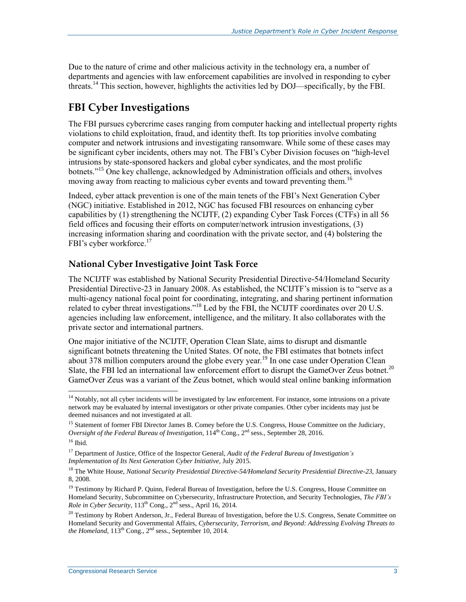Due to the nature of crime and other malicious activity in the technology era, a number of departments and agencies with law enforcement capabilities are involved in responding to cyber threats. <sup>14</sup> This section, however, highlights the activities led by DOJ—specifically, by the FBI.

### **FBI Cyber Investigations**

The FBI pursues cybercrime cases ranging from computer hacking and intellectual property rights violations to child exploitation, fraud, and identity theft. Its [top priorities i](https://www.fbi.gov/investigate/cyber)nvolve combating computer and network intrusions and investigating ransomware. While some of these cases may be significant cyber incidents, others may not. The FBI's Cyber Division focuses on "high-level intrusions by state-sponsored hackers and global cyber syndicates, and the most prolific botnets."<sup>15</sup> One key challenge, acknowledged by Administration officials and others, involves moving away from reacting to malicious cyber events and toward preventing them.<sup>16</sup>

Indeed, cyber attack prevention is one of the main tenets of the FBI's Next Generation Cyber (NGC) initiative. Established in 2012, NGC has focused FBI resources on enhancing cyber capabilities by (1) strengthening the NCIJTF, (2) expanding Cyber Task Forces (CTFs) in all 56 field offices and focusing their efforts on computer/network intrusion investigations, (3) increasing information sharing and coordination with the private sector, and (4) bolstering the FBI's cyber workforce.<sup>17</sup>

#### **National Cyber Investigative Joint Task Force**

The NCIJTF was established by National Security Presidential Directive-54/Homeland Security Presidential Directive-23 in January 2008. As established, the NCIJTF's mission is to "serve as a multi-agency national focal point for coordinating, integrating, and sharing pertinent information related to cyber threat investigations."<sup>18</sup> Led by the FBI, [the NCIJTF coordinates](https://www.fbi.gov/investigate/cyber/national-cyber-investigative-joint-task-force) over 20 U.S. agencies including law enforcement, intelligence, and the military. It also collaborates with the private sector and international partners.

One major initiative of the NCIJTF, Operation Clean Slate, aims to disrupt and dismantle significant botnets threatening the United States. Of note, the FBI estimates that botnets infect about 378 million computers around the globe every year.<sup>19</sup> In one case under Operation Clean Slate, the FBI led an international law enforcement effort to disrupt the GameOver Zeus botnet.<sup>20</sup> GameOver Zeus was a variant of the Zeus botnet, which would steal online banking information

 $14$  Notably, not all cyber incidents will be investigated by law enforcement. For instance, some intrusions on a private network may be evaluated by internal investigators or other private companies. Other cyber incidents may just be deemed nuisances and not investigated at all.

<sup>&</sup>lt;sup>15</sup> Statement of former FBI Director James B. Comey before the U.S. Congress, House Committee on the Judiciary, *Oversight of the Federal Bureau of Investigation*,  $114^{\text{th}}$  Cong., 2<sup>nd</sup> sess., September 28, 2016.  $16$  Ibid.

<sup>17</sup> Department of Justice, Office of the Inspector General, *Audit of the Federal Bureau of Investigation's Implementation of Its Next Generation Cyber Initiative*, July 2015.

<sup>18</sup> The White House, *National Security Presidential Directive-54/Homeland Security Presidential Directive-23*, January 8, 2008.

<sup>&</sup>lt;sup>19</sup> Testimony by Richard P. Quinn, Federal Bureau of Investigation, before the U.S. Congress, House Committee on Homeland Security, Subcommittee on Cybersecurity, Infrastructure Protection, and Security Technologies, *The FBI's Role in Cyber Security*,  $113^{th}$  Cong.,  $2^{nd}$  sess., April 16, 2014.

<sup>&</sup>lt;sup>20</sup> Testimony by Robert Anderson, Jr., Federal Bureau of Investigation, before the U.S. Congress, Senate Committee on Homeland Security and Governmental Affairs, *Cybersecurity, Terrorism, and Beyond: Addressing Evolving Threats to the Homeland*,  $113<sup>th</sup> Cong.,  $2<sup>nd</sup>$  sess., September 10, 2014.$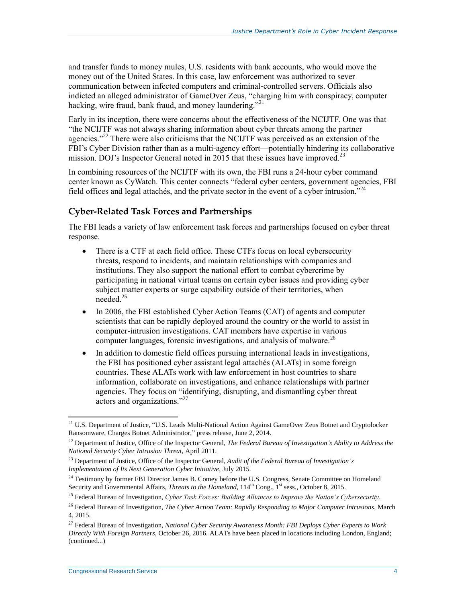and transfer funds to money mules, U.S. residents with bank accounts, who would move the money out of the United States. In this case, law enforcement was authorized to sever communication between infected computers and criminal-controlled servers. Officials also indicted an alleged administrator of GameOver Zeus, "charging him with conspiracy, computer hacking, wire fraud, bank fraud, and money laundering."<sup>21</sup>

Early in its inception, there were concerns about the effectiveness of the NCIJTF. One was that "the NCIJTF was not always sharing information about cyber threats among the partner agencies."<sup>22</sup> There were also criticisms that the NCIJTF was perceived as an extension of the FBI's Cyber Division rather than as a multi-agency effort—potentially hindering its collaborative mission. DOJ's Inspector General noted in 2015 that these issues have improved.<sup>23</sup>

In combining resources of the NCIJTF with its own, the FBI runs a 24-hour cyber command center known as CyWatch. This center connects "federal cyber centers, government agencies, FBI field offices and legal attachés, and the private sector in the event of a cyber intrusion."<sup>24</sup>

#### **Cyber-Related Task Forces and Partnerships**

The FBI leads a variety of law enforcement task forces and partnerships focused on cyber threat response.

- There is a CTF at each field office. These CTFs focus on local cybersecurity threats, respond to incidents, and maintain relationships with companies and institutions. They also support the national effort to combat cybercrime by participating in national virtual teams on certain cyber issues and providing cyber subject matter experts or surge capability outside of their territories, when needed $^{25}$
- In 2006, the FBI established Cyber Action Teams (CAT) of agents and computer scientists that can be rapidly deployed around the country or the world to assist in computer-intrusion investigations. CAT members have expertise in various computer languages, forensic investigations, and analysis of malware.<sup>26</sup>
- In addition to domestic field offices pursuing international leads in investigations, the FBI has positioned cyber assistant legal attachés (ALATs) in some foreign countries. These ALATs work with law enforcement in host countries to share information, collaborate on investigations, and enhance relationships with partner agencies. They focus on "identifying, disrupting, and dismantling cyber threat actors and organizations."<sup>27</sup>

<sup>&</sup>lt;sup>21</sup> U.S. Department of Justice, "U.S. Leads Multi-National Action Against GameOver Zeus Botnet and Cryptolocker Ransomware, Charges Botnet Administrator," press release, June 2, 2014.

<sup>22</sup> Department of Justice, Office of the Inspector General, *The Federal Bureau of Investigation's Ability to Address the National Security Cyber Intrusion Threat*, April 2011.

<sup>23</sup> Department of Justice, Office of the Inspector General, *Audit of the Federal Bureau of Investigation's Implementation of Its Next Generation Cyber Initiative*, July 2015.

<sup>&</sup>lt;sup>24</sup> Testimony by former FBI Director James B. Comey before the U.S. Congress, Senate Committee on Homeland Security and Governmental Affairs, *Threats to the Homeland*, 114<sup>th</sup> Cong., 1<sup>st</sup> sess., October 8, 2015.

<sup>25</sup> Federal Bureau of Investigation, *Cyber Task Forces: Building Alliances to Improve the Nation's Cybersecurity*.

<sup>26</sup> Federal Bureau of Investigation, *The Cyber Action Team: Rapidly Responding to Major Computer Intrusions*, March 4, 2015.

<sup>27</sup> Federal Bureau of Investigation, *National Cyber Security Awareness Month: FBI Deploys Cyber Experts to Work Directly With Foreign Partners*, October 26, 2016. ALATs have been placed in locations including London, England; (continued...)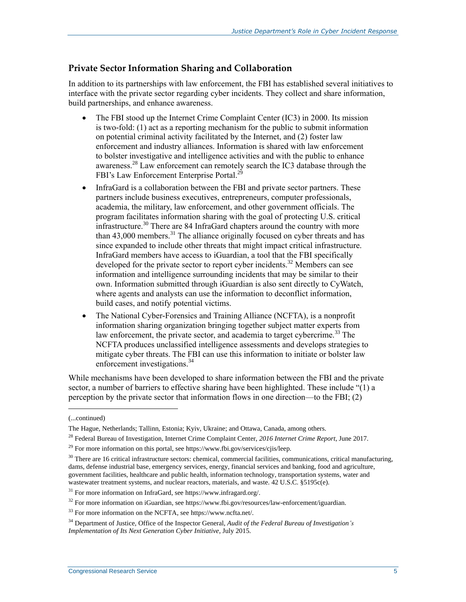#### **Private Sector Information Sharing and Collaboration**

In addition to its partnerships with law enforcement, the FBI has established several initiatives to interface with the private sector regarding cyber incidents. They collect and share information, build partnerships, and enhance awareness.

- The FBI stood up the Internet Crime Complaint Center (IC3) in 2000. Its mission is two-fold: (1) act as a reporting mechanism for the public to submit information on potential criminal activity facilitated by the Internet, and (2) foster law enforcement and industry alliances. Information is shared with law enforcement to bolster investigative and intelligence activities and with the public to enhance awareness.<sup>28</sup> Law enforcement can remotely search the IC3 database through the FBI's Law Enforcement Enterprise Portal.<sup>29</sup>
- InfraGard is a collaboration between the FBI and private sector partners. These partners include business executives, entrepreneurs, computer professionals, academia, the military, law enforcement, and other government officials. The program facilitates information sharing with the goal of protecting U.S. critical infrastructure.<sup>30</sup> There are 84 InfraGard chapters around the country with more than  $43,000$  members.<sup>31</sup> The alliance originally focused on cyber threats and has since expanded to include other threats that might impact critical infrastructure. InfraGard members have access to iGuardian, a tool that the FBI specifically developed for the private sector to report cyber incidents.<sup>32</sup> Members can see information and intelligence surrounding incidents that may be similar to their own. Information submitted through iGuardian is also sent directly to CyWatch, where agents and analysts can use the information to deconflict information, build cases, and notify potential victims.
- The National Cyber-Forensics and Training Alliance (NCFTA), is a nonprofit information sharing organization bringing together subject matter experts from law enforcement, the private sector, and academia to target cybercrime.<sup>33</sup> The NCFTA produces unclassified intelligence assessments and develops strategies to mitigate cyber threats. The FBI can use this information to initiate or bolster law enforcement investigations.<sup>34</sup>

While mechanisms have been developed to share information between the FBI and the private sector, a number of barriers to effective sharing have been highlighted. These include "(1) a perception by the private sector that information flows in one direction—to the FBI; (2)

<sup>(...</sup>continued)

The Hague, Netherlands; Tallinn, Estonia; Kyiv, Ukraine; and Ottawa, Canada, among others.

<sup>28</sup> Federal Bureau of Investigation, Internet Crime Complaint Center, *2016 Internet Crime Report*, June 2017.

<sup>&</sup>lt;sup>29</sup> For more information on this portal, see https://www.fbi.gov/services/cjis/leep.

 $30$  There are 16 critical infrastructure sectors: chemical, commercial facilities, communications, critical manufacturing, dams, defense industrial base, emergency services, energy, financial services and banking, food and agriculture, government facilities, healthcare and public health, information technology, transportation systems, water and wastewater treatment systems, and nuclear reactors, materials, and waste. 42 U.S.C. §5195c(e).

 $31$  For more information on InfraGard, see https://www.infragard.org/.

<sup>&</sup>lt;sup>32</sup> For more information on iGuardian, see https://www.fbi.gov/resources/law-enforcement/iguardian.

<sup>33</sup> For more information on the NCFTA, see https://www.ncfta.net/.

<sup>34</sup> Department of Justice, Office of the Inspector General, *Audit of the Federal Bureau of Investigation's Implementation of Its Next Generation Cyber Initiative*, July 2015.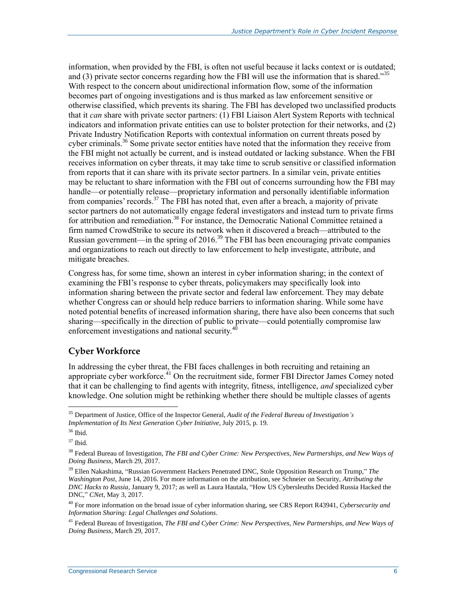information, when provided by the FBI, is often not useful because it lacks context or is outdated; and (3) private sector concerns regarding how the FBI will use the information that is shared.<sup>355</sup> With respect to the concern about unidirectional information flow, some of the information becomes part of ongoing investigations and is thus marked as law enforcement sensitive or otherwise classified, which prevents its sharing. The FBI has developed two unclassified products that it *can* share with private sector partners: (1) FBI Liaison Alert System Reports with technical indicators and information private entities can use to bolster protection for their networks, and (2) Private Industry Notification Reports with contextual information on current threats posed by cyber criminals.<sup>36</sup> Some private sector entities have noted that the information they receive from the FBI might not actually be current, and is instead outdated or lacking substance. When the FBI receives information on cyber threats, it may take time to scrub sensitive or classified information from reports that it can share with its private sector partners. In a similar vein, private entities may be reluctant to share information with the FBI out of concerns surrounding how the FBI may handle—or potentially release—proprietary information and personally identifiable information from companies' records.<sup>37</sup> The FBI has noted that, even after a breach, a majority of private sector partners do not automatically engage federal investigators and instead turn to private firms for attribution and remediation.<sup>38</sup> For instance, the Democratic National Committee retained a firm named CrowdStrike to secure its network when it discovered a breach—attributed to the Russian government—in the spring of 2016.<sup>39</sup> The FBI has been encouraging private companies and organizations to reach out directly to law enforcement to help investigate, attribute, and mitigate breaches.

Congress has, for some time, shown an interest in cyber information sharing; in the context of examining the FBI's response to cyber threats, policymakers may specifically look into information sharing between the private sector and federal law enforcement. They may debate whether Congress can or should help reduce barriers to information sharing. While some have noted potential benefits of increased information sharing, there have also been concerns that such sharing—specifically in the direction of public to private—could potentially compromise law enforcement investigations and national security. $40$ 

#### **Cyber Workforce**

In addressing the cyber threat, the FBI faces challenges in both recruiting and retaining an appropriate cyber workforce.<sup>41</sup> On the recruitment side, former FBI Director James Comey noted that it can be challenging to find agents with integrity, fitness, intelligence, *and* specialized cyber knowledge. One solution might be rethinking whether there should be multiple classes of agents

<sup>35</sup> Department of Justice, Office of the Inspector General, *Audit of the Federal Bureau of Investigation's Implementation of Its Next Generation Cyber Initiative*, July 2015, p. 19.

<sup>36</sup> Ibid.

<sup>37</sup> Ibid.

<sup>38</sup> Federal Bureau of Investigation, *The FBI and Cyber Crime: New Perspectives, New Partnerships, and New Ways of Doing Business*, March 29, 2017.

<sup>39</sup> Ellen Nakashima, "Russian Government Hackers Penetrated DNC, Stole Opposition Research on Trump," *The Washington Post*, June 14, 2016. For more information on the attribution, see Schneier on Security, *Attributing the DNC Hacks to Russia*, January 9, 2017; as well as Laura Hautala, "How US Cybersleuths Decided Russia Hacked the DNC," *CNet*, May 3, 2017.

<sup>40</sup> For more information on the broad issue of cyber information sharing, see CRS Report R43941, *Cybersecurity and Information Sharing: Legal Challenges and Solutions*.

<sup>41</sup> Federal Bureau of Investigation, *The FBI and Cyber Crime: New Perspectives, New Partnerships, and New Ways of Doing Business*, March 29, 2017.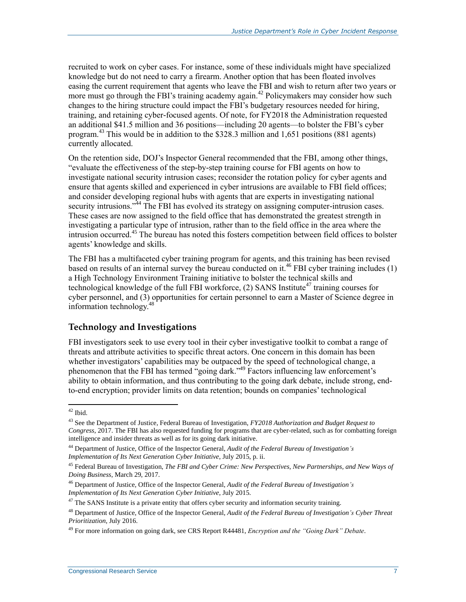recruited to work on cyber cases. For instance, some of these individuals might have specialized knowledge but do not need to carry a firearm. Another option that has been floated involves easing the current requirement that agents who leave the FBI and wish to return after two years or more must go through the FBI's training academy again. <sup>42</sup> Policymakers may consider how such changes to the hiring structure could impact the FBI's budgetary resources needed for hiring, training, and retaining cyber-focused agents. Of note, for FY2018 the Administration requested an additional \$41.5 million and 36 positions—including 20 agents—to bolster the FBI's cyber program.<sup>43</sup> This would be in addition to the \$328.3 million and 1,651 positions (881 agents) currently allocated.

On the retention side, DOJ's Inspector General recommended that the FBI, among other things, "evaluate the effectiveness of the step-by-step training course for FBI agents on how to investigate national security intrusion cases; reconsider the rotation policy for cyber agents and ensure that agents skilled and experienced in cyber intrusions are available to FBI field offices; and consider developing regional hubs with agents that are experts in investigating national security intrusions.<sup>344</sup> The FBI has evolved its strategy on assigning computer-intrusion cases. These cases are now assigned to the field office that has demonstrated the greatest strength in investigating a particular type of intrusion, rather than to the field office in the area where the intrusion occurred. <sup>45</sup> The bureau has noted this fosters competition between field offices to bolster agents' knowledge and skills.

The FBI has a multifaceted cyber training program for agents, and this training has been revised based on results of an internal survey the bureau conducted on it. <sup>46</sup> FBI cyber training includes (1) a High Technology Environment Training initiative to bolster the technical skills and technological knowledge of the full FBI workforce,  $(2)$  SANS Institute<sup>47</sup> training courses for cyber personnel, and (3) opportunities for certain personnel to earn a Master of Science degree in information technology.<sup>48</sup>

#### **Technology and Investigations**

FBI investigators seek to use every tool in their cyber investigative toolkit to combat a range of threats and attribute activities to specific threat actors. One concern in this domain has been whether investigators' capabilities may be outpaced by the speed of technological change, a phenomenon that the FBI has termed "going dark."<sup>49</sup> Factors influencing law enforcement's ability to obtain information, and thus contributing to the going dark debate, include strong, endto-end encryption; provider limits on data retention; bounds on companies' technological

 $42$  Ibid.

<sup>43</sup> See the Department of Justice, Federal Bureau of Investigation, *FY2018 Authorization and Budget Request to Congress*, 2017. The FBI has also requested funding for programs that are cyber-related, such as for combatting foreign intelligence and insider threats as well as for its going dark initiative.

<sup>44</sup> Department of Justice, Office of the Inspector General, *Audit of the Federal Bureau of Investigation's Implementation of Its Next Generation Cyber Initiative*, July 2015, p. ii.

<sup>45</sup> Federal Bureau of Investigation, *The FBI and Cyber Crime: New Perspectives, New Partnerships, and New Ways of Doing Business*, March 29, 2017.

<sup>46</sup> Department of Justice, Office of the Inspector General, *Audit of the Federal Bureau of Investigation's Implementation of Its Next Generation Cyber Initiative*, July 2015.

 $47$  The SANS Institute is a private entity that offers cyber security and information security training.

<sup>48</sup> Department of Justice, Office of the Inspector General, *Audit of the Federal Bureau of Investigation's Cyber Threat Prioritization*, July 2016.

<sup>49</sup> For more information on going dark, see CRS Report R44481, *Encryption and the "Going Dark" Debate*.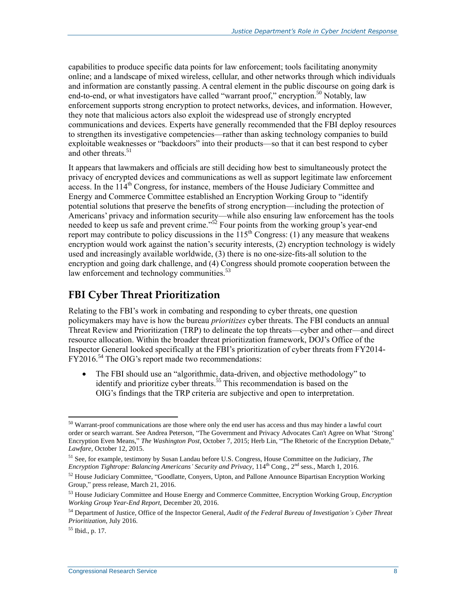capabilities to produce specific data points for law enforcement; tools facilitating anonymity online; and a landscape of mixed wireless, cellular, and other networks through which individuals and information are constantly passing. A central element in the public discourse on going dark is end-to-end, or what investigators have called "warrant proof," encryption.<sup>50</sup> Notably, law enforcement supports strong encryption to protect networks, devices, and information. However, they note that malicious actors also exploit the widespread use of strongly encrypted communications and devices. Experts have generally recommended that the FBI deploy resources to strengthen its investigative competencies—rather than asking technology companies to build exploitable weaknesses or "backdoors" into their products—so that it can best respond to cyber and other threats.<sup>51</sup>

It appears that lawmakers and officials are still deciding how best to simultaneously protect the privacy of encrypted devices and communications as well as support legitimate law enforcement  $\alpha$  access. In the  $114^{\text{th}}$  Congress, for instance, members of the House Judiciary Committee and Energy and Commerce Committee established an Encryption Working Group to "identify potential solutions that preserve the benefits of strong encryption—including the protection of Americans' privacy and information security—while also ensuring law enforcement has the tools needed to keep us safe and prevent crime." $52$  Four points from the working group's year-end report may contribute to policy discussions in the  $115<sup>th</sup>$  Congress: (1) any measure that weakens encryption would work against the nation's security interests, (2) encryption technology is widely used and increasingly available worldwide, (3) there is no one-size-fits-all solution to the encryption and going dark challenge, and (4) Congress should promote cooperation between the law enforcement and technology communities.<sup>53</sup>

### **FBI Cyber Threat Prioritization**

Relating to the FBI's work in combating and responding to cyber threats, one question policymakers may have is how the bureau *prioritizes* cyber threats. The FBI conducts an annual Threat Review and Prioritization (TRP) to delineate the top threats—cyber and other—and direct resource allocation. Within the broader threat prioritization framework, DOJ's Office of the Inspector General looked specifically at the FBI's prioritization of cyber threats from FY2014- FY2016.<sup>54</sup> The OIG's report made two recommendations:

 The FBI should use an "algorithmic, data-driven, and objective methodology" to identify and prioritize cyber threats.<sup>55</sup> This recommendation is based on the OIG's findings that the TRP criteria are subjective and open to interpretation.

<sup>&</sup>lt;sup>50</sup> Warrant-proof communications are those where only the end user has access and thus may hinder a lawful court order or search warrant. See Andrea Peterson, "The Government and Privacy Advocates Can't Agree on What 'Strong' Encryption Even Means," *The Washington Post*, October 7, 2015; Herb Lin, "The Rhetoric of the Encryption Debate," *Lawfare*, October 12, 2015.

<sup>51</sup> See, for example, testimony by Susan Landau before U.S. Congress, House Committee on the Judiciary, *The Encryption Tightrope: Balancing Americans' Security and Privacy*, 114th Cong., 2nd sess., March 1, 2016.

<sup>&</sup>lt;sup>52</sup> House Judiciary Committee, "Goodlatte, Conyers, Upton, and Pallone Announce Bipartisan Encryption Working Group," press release, March 21, 2016.

<sup>53</sup> House Judiciary Committee and House Energy and Commerce Committee, Encryption Working Group, *Encryption Working Group Year-End Report*, December 20, 2016.

<sup>54</sup> Department of Justice, Office of the Inspector General, *Audit of the Federal Bureau of Investigation's Cyber Threat Prioritization*, July 2016.

 $55$  Ibid., p. 17.